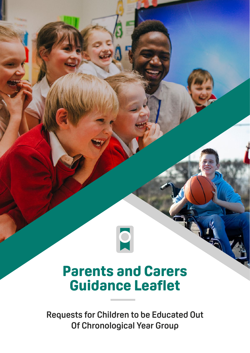

# **Parents and Carers Guidance Leaflet**

**Requests for Children to be Educated Out Of Chronological Year Group**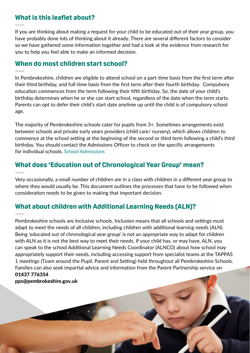#### **What is this leaflet about?**

If you are thinking about making a request for your child to be educated out of their year group, you have probably done lots of thinking about it already. There are several different factors to consider so we have gathered some information together and had a look at the evidence from research for you to help you feel able to make an informed decision.

### **When do most children start school?**

In Pembrokeshire, children are eligible to attend school on a part-time basis from the first term after their third birthday, and full-time basis from the first term after their fourth birthday. Compulsory education commences from the term following their fifth birthday. So, the date of your child's birthday determines when he or she can start school, regardless of the date when the term starts. Parents can opt to defer their child's start date anytime up until the child is of compulsory school age.

The majority of Pembrokeshire schools cater for pupils from 3+. Sometimes arrangements exist between schools and private early years providers (child care/ nursery), which allows children to commence at the school setting at the beginning of the second or third term following a child's third birthday. You should contact the Admissions Officer to check on the specific arrangements for individual schools. [School Admissions](www.pembrokeshire.gov.uk/school-admissions)

## **What does 'Education out of Chronological Year Group' mean?**

Very occasionally, a small number of children are in a class with children in a different year group to where they would usually be. This document outlines the processes that have to be followed when consideration needs to be given to making that important decision.

# **What about children with Additional Learning Needs (ALN)?**

Pembrokeshire schools are Inclusive schools. Inclusion means that all schools and settings must adapt to meet the needs of all children, including children with additional learning needs (ALN). Being 'educated out of chronological year group' is not an appropriate way to adapt for children with ALN as it is not the best way to meet their needs. If your child has, or may have, ALN, you can speak to the school Additional Learning Needs Coordinator (ALNCO) about how school may appropriately support their needs, including accessing support from specialist teams at the TAPPAS 1 meetings (Team around the Pupil, Parent and Setting) held throughout all Pembrokeshire Schools. Families can also seek impartial advice and information from the Parent Partnership service on 01437 776354

[pps@pembrokeshire.gov.uk](mailto:pps@pembrokeshire.gov.uk)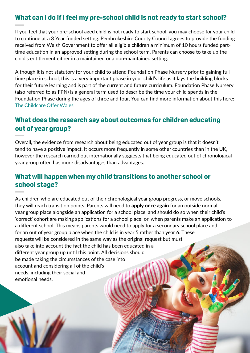### **What can I do if I feel my pre-school child is not ready to start school?**

If you feel that your pre-school aged child is not ready to start school, you may choose for your child to continue at a 3 Year funded setting. Pembrokeshire County Council agrees to provide the funding received from Welsh Government to offer all eligible children a minimum of 10 hours funded parttime education in an approved setting during the school term. Parents can choose to take up the child's entitlement either in a maintained or a non-maintained setting.

Although it is not statutory for your child to attend Foundation Phase Nursery prior to gaining full time place in school, this is a very important phase in your child's life as it lays the building blocks for their future learning and is part of the current and future curriculum. Foundation Phase Nursery (also referred to as FPN) is a general term used to describe the time your child spends in the Foundation Phase during the ages of three and four. You can find more information about this here: [The Childcare Offer Wales](https://www.pembrokeshire.gov.uk/the-childcare-offer-wales)

## **What does the research say about outcomes for children educating out of year group?**

Overall, the evidence from research about being educated out of year group is that it doesn't tend to have a positive impact. It occurs more frequently in some other countries than in the UK, however the research carried out internationally suggests that being educated out of chronological year group often has more disadvantages than advantages.

#### **What will happen when my child transitions to another school or school stage?**

As children who are educated out of their chronological year group progress, or move schools, they will reach transition points. Parents will need to **apply once again** for an outside normal year group place alongside an application for a school place, and should do so when their child's 'correct' cohort are making applications for a school place; or, when parents make an application to a different school. This means parents would need to apply for a secondary school place and for an out of year group place when the child is in year 5 rather than year 6. These requests will be considered in the same way as the original request but must also take into account the fact the child has been educated in a different year group up until this point. All decisions should be made taking the circumstances of the case into account and considering all of the child's needs, including their social and emotional needs.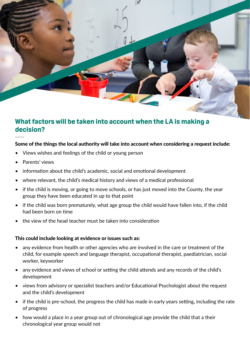

#### **What factors will be taken into account when the LA is making a decision?**

#### Some of the things the local authority will take into account when considering a request include:

- Views wishes and feelings of the child or young person
- Parents' views
- information about the child's academic, social and emotional development
- where relevant, the child's medical history and views of a medical professional
- if the child is moving, or going to move schools, or has just moved into the County, the year group they have been educated in up to that point
- if the child was born prematurely, what age group the child would have fallen into, if the child had been born on time
- the view of the head teacher must be taken into consideration

#### This could include looking at evidence or issues such as:

- any evidence from health or other agencies who are involved in the care or treatment of the child, for example speech and language therapist, occupational therapist, paediatrician, social worker, keyworker
- any evidence and views of school or setting the child attends and any records of the child's development
- views from advisory or specialist teachers and/or Educational Psychologist about the request and the child's development
- if the child is pre-school, the progress the child has made in early years setting, including the rate of progress
- how would a place in a year group out of chronological age provide the child that a their chronological year group would not